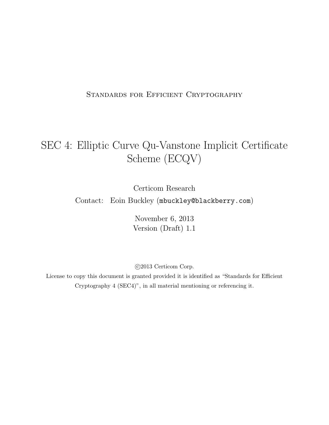### STANDARDS FOR EFFICIENT CRYPTOGRAPHY

# SEC 4: Elliptic Curve Qu-Vanstone Implicit Certificate Scheme (ECQV)

Certicom Research

Contact: Eoin Buckley (mbuckley@blackberry.com)

November 6, 2013 Version (Draft) 1.1

c 2013 Certicom Corp.

License to copy this document is granted provided it is identified as "Standards for Efficient Cryptography 4 (SEC4)", in all material mentioning or referencing it.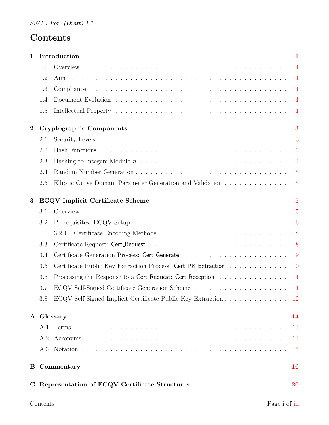# Contents

| $\mathbf{1}$     |     | Introduction                                                                          | $\mathbf{1}$   |
|------------------|-----|---------------------------------------------------------------------------------------|----------------|
|                  | 1.1 |                                                                                       | $\blacksquare$ |
|                  | 1.2 | Aim                                                                                   | -1             |
|                  | 1.3 |                                                                                       |                |
|                  | 1.4 |                                                                                       |                |
|                  | 1.5 |                                                                                       | $\overline{1}$ |
| $\boldsymbol{2}$ |     | <b>Cryptographic Components</b>                                                       | 3              |
|                  | 2.1 |                                                                                       | 3              |
|                  | 2.2 |                                                                                       | 3              |
|                  | 2.3 |                                                                                       | $\overline{4}$ |
|                  | 2.4 |                                                                                       | $\overline{5}$ |
|                  | 2.5 | Elliptic Curve Domain Parameter Generation and Validation                             | $\overline{5}$ |
| 3                |     | <b>ECQV</b> Implicit Certificate Scheme                                               | $\overline{5}$ |
|                  | 3.1 |                                                                                       | $\overline{5}$ |
|                  | 3.2 |                                                                                       | 6              |
|                  |     | 3.2.1                                                                                 |                |
|                  | 3.3 |                                                                                       | 8              |
|                  | 3.4 |                                                                                       | - 9            |
|                  | 3.5 | Certificate Public Key Extraction Process: Cert_PK_Extraction                         | $10\,$         |
|                  | 3.6 | Processing the Response to a Cert <sub>-Request</sub> : Cert <sub>-Reception</sub> 11 |                |
|                  | 3.7 |                                                                                       |                |
|                  | 3.8 | ECQV Self-Signed Implicit Certificate Public Key Extraction                           | 12             |
|                  |     | A Glossary                                                                            | 14             |
|                  |     |                                                                                       | -14            |
|                  | A.2 |                                                                                       | 14             |
|                  |     |                                                                                       | 15             |
|                  |     | <b>B</b> Commentary                                                                   | <b>16</b>      |
|                  |     | C Representation of ECQV Certificate Structures                                       | <b>20</b>      |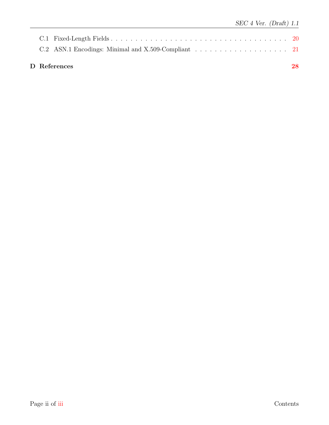| D References | 28 |
|--------------|----|
|              |    |
|              |    |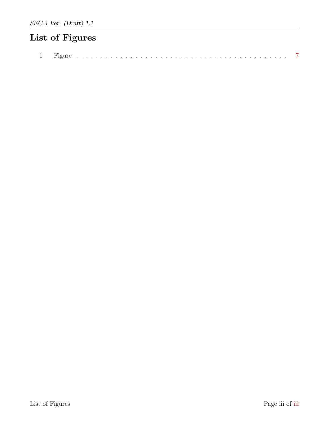# List of Figures

<span id="page-3-0"></span>

|--|--|--|--|--|--|--|--|--|--|--|--|--|--|--|--|--|--|--|--|--|--|--|--|--|--|--|--|--|--|--|--|--|--|--|--|--|--|--|--|--|--|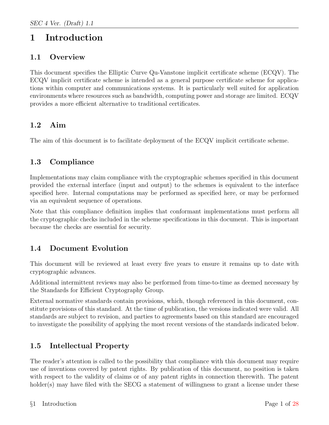## <span id="page-4-0"></span>1 Introduction

### <span id="page-4-1"></span>1.1 Overview

This document specifies the Elliptic Curve Qu-Vanstone implicit certificate scheme (ECQV). The ECQV implicit certificate scheme is intended as a general purpose certificate scheme for applications within computer and communications systems. It is particularly well suited for application environments where resources such as bandwidth, computing power and storage are limited. ECQV provides a more efficient alternative to traditional certificates.

### <span id="page-4-2"></span>1.2 Aim

The aim of this document is to facilitate deployment of the ECQV implicit certificate scheme.

### <span id="page-4-3"></span>1.3 Compliance

Implementations may claim compliance with the cryptographic schemes specified in this document provided the external interface (input and output) to the schemes is equivalent to the interface specified here. Internal computations may be performed as specified here, or may be performed via an equivalent sequence of operations.

Note that this compliance definition implies that conformant implementations must perform all the cryptographic checks included in the scheme specifications in this document. This is important because the checks are essential for security.

### <span id="page-4-4"></span>1.4 Document Evolution

This document will be reviewed at least every five years to ensure it remains up to date with cryptographic advances.

Additional intermittent reviews may also be performed from time-to-time as deemed necessary by the Standards for Efficient Cryptography Group.

External normative standards contain provisions, which, though referenced in this document, constitute provisions of this standard. At the time of publication, the versions indicated were valid. All standards are subject to revision, and parties to agreements based on this standard are encouraged to investigate the possibility of applying the most recent versions of the standards indicated below.

### <span id="page-4-5"></span>1.5 Intellectual Property

The reader's attention is called to the possibility that compliance with this document may require use of inventions covered by patent rights. By publication of this document, no position is taken with respect to the validity of claims or of any patent rights in connection therewith. The patent holder(s) may have filed with the SECG a statement of willingness to grant a license under these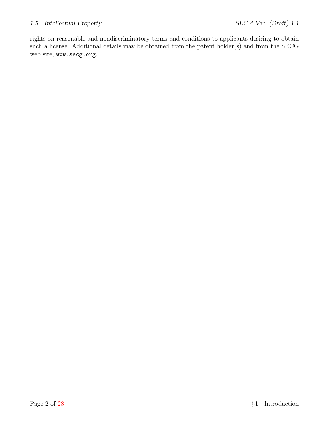rights on reasonable and nondiscriminatory terms and conditions to applicants desiring to obtain such a license. Additional details may be obtained from the patent holder(s) and from the SECG web site, www.secg.org.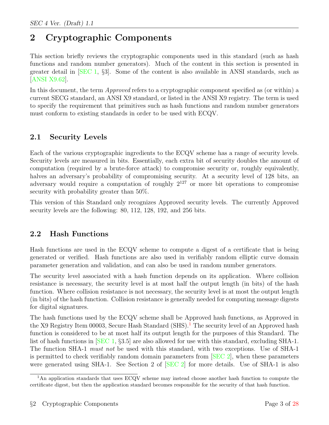# <span id="page-6-0"></span>2 Cryptographic Components

This section briefly reviews the cryptographic components used in this standard (such as hash functions and random number generators). Much of the content in this section is presented in greater detail in [\[SEC 1,](#page-31-2) §3]. Some of the content is also available in ANSI standards, such as [\[ANSI X9.62\]](#page-31-3).

In this document, the term *Approved* refers to a cryptographic component specified as (or within) a current SECG standard, an ANSI X9 standard, or listed in the ANSI X9 registry. The term is used to specify the requirement that primitives such as hash functions and random number generators must conform to existing standards in order to be used with ECQV.

### <span id="page-6-1"></span>2.1 Security Levels

Each of the various cryptographic ingredients to the ECQV scheme has a range of security levels. Security levels are measured in bits. Essentially, each extra bit of security doubles the amount of computation (required by a brute-force attack) to compromise security or, roughly equivalently, halves an adversary's probability of compromising security. At a security level of 128 bits, an adversary would require a computation of roughly  $2^{127}$  or more bit operations to compromise security with probability greater than 50%.

This version of this Standard only recognizes Approved security levels. The currently Approved security levels are the following: 80, 112, 128, 192, and 256 bits.

### <span id="page-6-2"></span>2.2 Hash Functions

Hash functions are used in the ECQV scheme to compute a digest of a certificate that is being generated or verified. Hash functions are also used in verifiably random elliptic curve domain parameter generation and validation, and can also be used in random number generators.

The security level associated with a hash function depends on its application. Where collision resistance is necessary, the security level is at most half the output length (in bits) of the hash function. Where collision resistance is not necessary, the security level is at most the output length (in bits) of the hash function. Collision resistance is generally needed for computing message digests for digital signatures.

The hash functions used by the ECQV scheme shall be Approved hash functions, as Approved in the X9 Registry Item 00003, Secure Hash Standard  $(SHS)$ .<sup>[1](#page-6-3)</sup> The security level of an Approved hash function is considered to be at most half its output length for the purposes of this Standard. The list of hash functions in [\[SEC 1,](#page-31-2) §3.5] are also allowed for use with this standard, excluding SHA-1. The function SHA-1 must not be used with this standard, with two exceptions. Use of SHA-1 is permitted to check verifiably random domain parameters from [\[SEC 2\]](#page-31-4), when these parameters were generated using SHA-1. See Section 2 of [\[SEC 2\]](#page-31-4) for more details. Use of SHA-1 is also

<span id="page-6-3"></span><sup>&</sup>lt;sup>1</sup>An application standards that uses ECQV scheme may instead choose another hash function to compute the certificate digest, but then the application standard becomes responsible for the security of that hash function.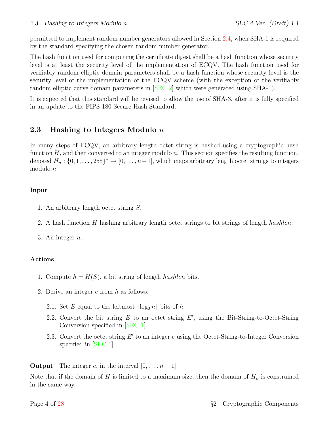permitted to implement random number generators allowed in Section [2.4,](#page-8-0) when SHA-1 is required by the standard specifying the chosen random number generator.

The hash function used for computing the certificate digest shall be a hash function whose security level is at least the security level of the implementation of ECQV. The hash function used for verifiably random elliptic domain parameters shall be a hash function whose security level is the security level of the implementation of the ECQV scheme (with the exception of the verifiably random elliptic curve domain parameters in [\[SEC 2\]](#page-31-4) which were generated using SHA-1).

It is expected that this standard will be revised to allow the use of SHA-3, after it is fully specified in an update to the FIPS 180 Secure Hash Standard.

### <span id="page-7-0"></span>2.3 Hashing to Integers Modulo  $n$

In many steps of ECQV, an arbitrary length octet string is hashed using a cryptographic hash function  $H$ , and then converted to an integer modulo n. This section specifies the resulting function, denoted  $H_n: \{0, 1, \ldots, 255\}^* \to [0, \ldots, n-1]$ , which maps arbitrary length octet strings to integers modulo n.

#### Input

- 1. An arbitrary length octet string S.
- 2. A hash function H hashing arbitrary length octet strings to bit strings of length hashlen.

3. An integer  $n$ .

#### Actions

- 1. Compute  $h = H(S)$ , a bit string of length *hashlen* bits.
- 2. Derive an integer e from h as follows:
	- 2.1. Set E equal to the leftmost  $\lfloor \log_2 n \rfloor$  bits of h.
	- 2.2. Convert the bit string  $E$  to an octet string  $E'$ , using the Bit-String-to-Octet-String Conversion specified in [\[SEC 1\]](#page-31-2).
	- 2.3. Convert the octet string  $E'$  to an integer  $e$  using the Octet-String-to-Integer Conversion specified in [\[SEC 1\]](#page-31-2).

**Output** The integer e, in the interval  $[0, \ldots, n-1]$ .

Note that if the domain of H is limited to a maximum size, then the domain of  $H_n$  is constrained in the same way.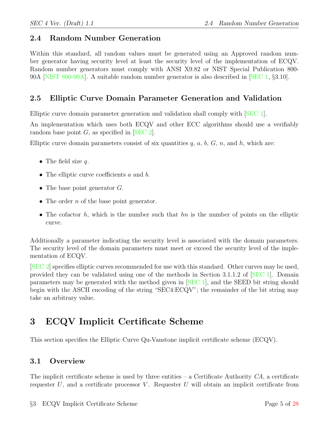### <span id="page-8-0"></span>2.4 Random Number Generation

Within this standard, all random values must be generated using an Approved random number generator having security level at least the security level of the implementation of ECQV. Random number generators must comply with ANSI X9.82 or NIST Special Publication 800- 90A [\[NIST 800-90A\]](#page-31-5). A suitable random number generator is also described in [\[SEC 1,](#page-31-2) §3.10].

### <span id="page-8-1"></span>2.5 Elliptic Curve Domain Parameter Generation and Validation

Elliptic curve domain parameter generation and validation shall comply with [\[SEC 1\]](#page-31-2).

An implementation which uses both ECQV and other ECC algorithms should use a verifiably random base point  $G$ , as specified in  $[SEC 2]$ .

Elliptic curve domain parameters consist of six quantities  $q, a, b, G, n$ , and h, which are:

- The field size  $q$ .
- The elliptic curve coefficients a and b.
- The base point generator  $G$ .
- The order  $n$  of the base point generator.
- The cofactor  $h$ , which is the number such that  $hn$  is the number of points on the elliptic curve.

Additionally a parameter indicating the security level is associated with the domain parameters. The security level of the domain parameters must meet or exceed the security level of the implementation of ECQV.

[\[SEC 2\]](#page-31-4) specifies elliptic curves recommended for use with this standard. Other curves may be used, provided they can be validated using one of the methods in Section 3.1.1.2 of [\[SEC 1\]](#page-31-2). Domain parameters may be generated with the method given in [\[SEC 1\]](#page-31-2), and the SEED bit string should begin with the ASCII encoding of the string "SEC4:ECQV"; the remainder of the bit string may take an arbitrary value.

# <span id="page-8-2"></span>3 ECQV Implicit Certificate Scheme

This section specifies the Elliptic Curve Qu-Vanstone implicit certificate scheme (ECQV).

### <span id="page-8-3"></span>3.1 Overview

The implicit certificate scheme is used by three entities  $-$  a Certificate Authority  $CA$ , a certificate requester  $U$ , and a certificate processor  $V$ . Requester  $U$  will obtain an implicit certificate from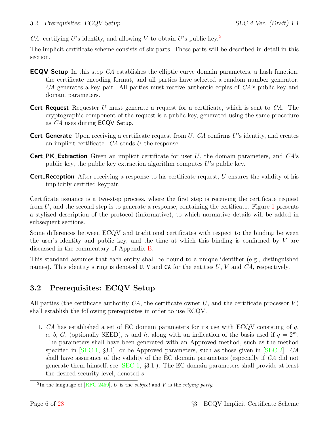CA, certifying U's identity, and allowing V to obtain U's public key.<sup>[2](#page-9-1)</sup>

The implicit certificate scheme consists of six parts. These parts will be described in detail in this section.

- **ECQV Setup** In this step CA establishes the elliptic curve domain parameters, a hash function, the certificate encoding format, and all parties have selected a random number generator. CA generates a key pair. All parties must receive authentic copies of CA's public key and domain parameters.
- **Cert Request** Requester U must generate a request for a certificate, which is sent to  $CA$ . The cryptographic component of the request is a public key, generated using the same procedure as *CA* uses during **ECQV**\_Setup.
- **Cert Generate** Upon receiving a certificate request from U,  $CA$  confirms U's identity, and creates an implicit certificate.  $CA$  sends  $U$  the response.
- **Cert\_PK\_Extraction** Given an implicit certificate for user  $U$ , the domain parameters, and  $CA$ 's public key, the public key extraction algorithm computes  $U$ 's public key.
- **Cert Reception** After receiving a response to his certificate request, U ensures the validity of his implicitly certified keypair.

Certificate issuance is a two-step process, where the first step is receiving the certificate request from  $U$ , and the second step is to generate a response, containing the certificate. Figure [1](#page-10-0) presents a stylized description of the protocol (informative), to which normative details will be added in subsequent sections.

Some differences between ECQV and traditional certificates with respect to the binding between the user's identity and public key, and the time at which this binding is confirmed by  $V$  are discussed in the commentary of Appendix [B.](#page-19-0)

This standard assumes that each entity shall be bound to a unique identifier (e.g., distinguished names). This identity string is denoted U, V and CA for the entities  $U, V$  and  $CA$ , respectively.

### <span id="page-9-0"></span>3.2 Prerequisites: ECQV Setup

All parties (the certificate authority  $CA$ , the certificate owner U, and the certificate processor V) shall establish the following prerequisites in order to use ECQV.

<span id="page-9-2"></span>1. CA has established a set of EC domain parameters for its use with ECQV consisting of  $q$ , a, b, G, (optionally SEED), n and h, along with an indication of the basis used if  $q = 2^m$ . The parameters shall have been generated with an Approved method, such as the method specified in  $\left| \text{SEC } 1, \{3.1\} \right|$ , or be Approved parameters, such as those given in  $\left| \text{SEC } 2 \right|$ . CA shall have assurance of the validity of the EC domain parameters (especially if CA did not generate them himself, see  $[SEC 1, §3.1]$  $[SEC 1, §3.1]$ . The EC domain parameters shall provide at least the desired security level, denoted s.

<span id="page-9-1"></span><sup>&</sup>lt;sup>2</sup>In the language of [\[RFC 2459\]](#page-31-6), U is the *subject* and V is the *relying party*.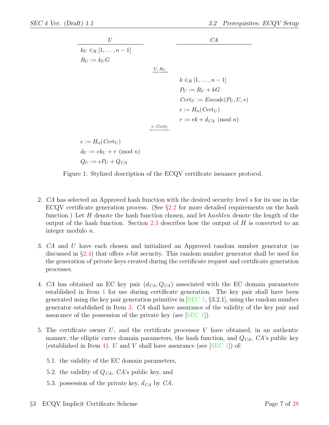| $U$                           | $CA$     |
|-------------------------------|----------|
| $k_U \in_R [1, \ldots, n-1]$  | $CA$     |
| $R_U := k_U G$                | $U, R_U$ |
| $k \in_R [1, \ldots, n-1]$    |          |
| $P_U := R_U + kG$             |          |
| $Cert_U := encode(P_U, U, *)$ |          |
| $e := H_n(Cert_U)$            |          |
| $r : = ek + d_{CA} \pmod{n}$  |          |
| $e := H_n(Cert_U)$            |          |
| $d_U := ek_U + r \pmod{n}$    |          |

Figure 1: Stylized description of the ECQV certificate issuance protocol.

- 2. CA has selected an Approved hash function with the desired security level s for its use in the ECQV certificate generation process. (See  $\S 2.2$  $\S 2.2$  for more detailed requirements on the hash function.) Let H denote the hash function chosen, and let *hashlen* denote the length of the output of the hash function. Section [2.3](#page-7-0) describes how the output of  $H$  is converted to an integer modulo n.
- <span id="page-10-1"></span>3. CA and U have each chosen and initialized an Approved random number generator (as discussed in §[2.4\)](#page-8-0) that offers s-bit security. This random number generator shall be used for the generation of private keys created during the certificate request and certificate generation processes.
- <span id="page-10-2"></span>4. CA has obtained an EC key pair  $(d_{CA}, Q_{CA})$  associated with the EC domain parameters established in Item [1](#page-9-2) for use during certificate generation. The key pair shall have been generated using the key pair generation primitive in [\[SEC 1,](#page-31-2) §3.2.1], using the random number generator established in Item [3.](#page-10-1) CA shall have assurance of the validity of the key pair and assurance of the possession of the private key (see [\[SEC 1\]](#page-31-2)).
- 5. The certificate owner U, and the certificate processor  $V$  have obtained, in an authentic manner, the elliptic curve domain parameters, the hash function, and  $Q_{CA}$ ,  $CA$ 's public key (established in Item [4\)](#page-10-2). U and V shall have assurance (see  $[SEC 1]$ ) of:
	- 5.1. the validity of the EC domain parameters,

<span id="page-10-0"></span> $Q_U := e P_U + Q_{CA}$ 

- 5.2. the validity of  $Q_{CA}$ ,  $CA$ 's public key, and
- 5.3. possession of the private key,  $d_{CA}$  by  $CA$ .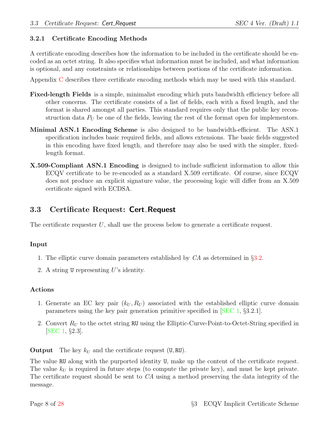#### <span id="page-11-0"></span>3.2.1 Certificate Encoding Methods

A certificate encoding describes how the information to be included in the certificate should be encoded as an octet string. It also specifies what information must be included, and what information is optional, and any constraints or relationships between portions of the certificate information.

Appendix [C](#page-23-0) describes three certificate encoding methods which may be used with this standard.

- Fixed-length Fields is a simple, minimalist encoding which puts bandwidth efficiency before all other concerns. The certificate consists of a list of fields, each with a fixed length, and the format is shared amongst all parties. This standard requires only that the public key reconstruction data  $P_U$  be one of the fields, leaving the rest of the format open for implementors.
- Minimal ASN.1 Encoding Scheme is also designed to be bandwidth-efficient. The ASN.1 specification includes basic required fields, and allows extensions. The basic fields suggested in this encoding have fixed length, and therefore may also be used with the simpler, fixedlength format.
- X.509-Compliant ASN.1 Encoding is designed to include sufficient information to allow this ECQV certificate to be re-encoded as a standard X.509 certificate. Of course, since ECQV does not produce an explicit signature value, the processing logic will differ from an X.509 certificate signed with ECDSA.

### <span id="page-11-1"></span>3.3 Certificate Request: Cert Request

The certificate requester  $U$ , shall use the process below to generate a certificate request.

#### Input

- 1. The elliptic curve domain parameters established by CA as determined in §[3.2.](#page-9-0)
- 2. A string U representing U's identity.

#### Actions

- 1. Generate an EC key pair  $(k_U, R_U)$  associated with the established elliptic curve domain parameters using the key pair generation primitive specified in [\[SEC 1,](#page-31-2) §3.2.1].
- 2. Convert  $R_U$  to the octet string RU using the Elliptic-Curve-Point-to-Octet-String specified in [\[SEC 1,](#page-31-2) §2.3].

**Output** The key  $k_U$  and the certificate request (U, RU).

The value RU along with the purported identity U, make up the content of the certificate request. The value  $k_U$  is required in future steps (to compute the private key), and must be kept private. The certificate request should be sent to CA using a method preserving the data integrity of the message.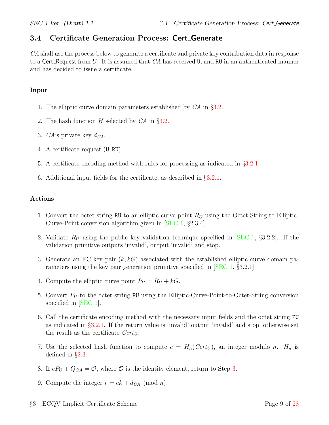### <span id="page-12-0"></span>3.4 Certificate Generation Process: Cert Generate

CA shall use the process below to generate a certificate and private key contribution data in response to a Cert Request from  $U$ . It is assumed that  $CA$  has received  $U$ , and RU in an authenticated manner and has decided to issue a certificate.

#### Input

- 1. The elliptic curve domain parameters established by CA in §[3.2.](#page-9-0)
- 2. The hash function H selected by CA in §[3.2.](#page-9-0)
- 3. CA's private key  $d_{CA}$ .
- 4. A certificate request (U, RU).
- 5. A certificate encoding method with rules for processing as indicated in §[3.2.1.](#page-11-0)
- 6. Additional input fields for the certificate, as described in §[3.2.1.](#page-11-0)

#### Actions

- 1. Convert the octet string RU to an elliptic curve point  $R_U$  using the Octet-String-to-Elliptic-Curve-Point conversion algorithm given in [\[SEC 1,](#page-31-2) §2.3.4].
- 2. Validate  $R_U$  using the public key validation technique specified in [\[SEC 1,](#page-31-2) §3.2.2]. If the validation primitive outputs 'invalid', output 'invalid' and stop.
- <span id="page-12-1"></span>3. Generate an EC key pair  $(k, k)$  associated with the established elliptic curve domain parameters using the key pair generation primitive specified in [\[SEC 1,](#page-31-2) §3.2.1].
- 4. Compute the elliptic curve point  $P_U = R_U + kG$ .
- 5. Convert  $P_U$  to the octet string PU using the Elliptic-Curve-Point-to-Octet-String conversion specified in [\[SEC 1\]](#page-31-2).
- 6. Call the certificate encoding method with the necessary input fields and the octet string PU as indicated in §[3.2.1.](#page-11-0) If the return value is 'invalid' output 'invalid' and stop, otherwise set the result as the certificate  $Cert_U$ .
- 7. Use the selected hash function to compute  $e = H_n(Cert_U)$ , an integer modulo n.  $H_n$  is defined in §[2.3.](#page-7-0)
- 8. If  $eP_U + Q_{CA} = \mathcal{O}$ , where  $\mathcal O$  is the identity element, return to Step [3.](#page-12-1)
- 9. Compute the integer  $r = ek + d_{CA} \pmod{n}$ .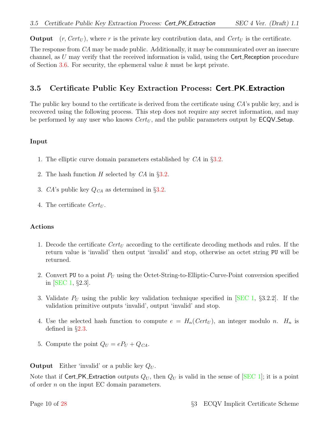**Output**  $(r, Cert_U)$ , where r is the private key contribution data, and  $Cert_U$  is the certificate.

The response from CA may be made public. Additionally, it may be communicated over an insecure channel, as  $U$  may verify that the received information is valid, using the Cert Reception procedure of Section [3.6.](#page-14-0) For security, the ephemeral value k must be kept private.

### <span id="page-13-0"></span>3.5 Certificate Public Key Extraction Process: Cert PK Extraction

The public key bound to the certificate is derived from the certificate using CA's public key, and is recovered using the following process. This step does not require any secret information, and may be performed by any user who knows  $Cert_U$ , and the public parameters output by  $\textsf{ECQV}\textsf{Setup}.$ 

#### Input

- 1. The elliptic curve domain parameters established by CA in §[3.2.](#page-9-0)
- 2. The hash function  $H$  selected by  $CA$  in §[3.2.](#page-9-0)
- 3. CA's public key  $Q_{CA}$  as determined in §[3.2.](#page-9-0)
- 4. The certificate  $Cert_U$ .

#### Actions

- 1. Decode the certificate  $Cert_U$  according to the certificate decoding methods and rules. If the return value is 'invalid' then output 'invalid' and stop, otherwise an octet string PU will be returned.
- 2. Convert PU to a point  $P_U$  using the Octet-String-to-Elliptic-Curve-Point conversion specified in [\[SEC 1,](#page-31-2) §2.3].
- 3. Validate  $P_U$  using the public key validation technique specified in SEC 1, §3.2.2. If the validation primitive outputs 'invalid', output 'invalid' and stop.
- 4. Use the selected hash function to compute  $e = H_n(Cert_U)$ , an integer modulo n.  $H_n$  is defined in §[2.3.](#page-7-0)
- 5. Compute the point  $Q_U = eP_U + Q_{CA}$ .

**Output** Either 'invalid' or a public key  $Q_U$ .

Note that if Cert PK Extraction outputs  $Q_U$ , then  $Q_U$  is valid in the sense of SEC 1; it is a point of order n on the input EC domain parameters.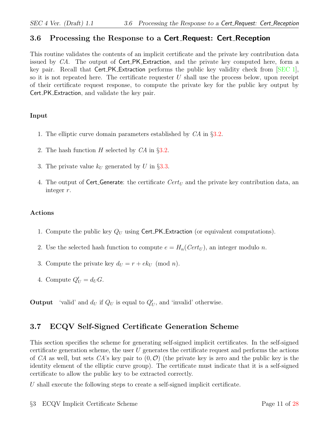### <span id="page-14-0"></span>3.6 Processing the Response to a Cert Request: Cert Reception

This routine validates the contents of an implicit certificate and the private key contribution data issued by CA. The output of Cert\_PK\_Extraction, and the private key computed here, form a key pair. Recall that Cert PK Extraction performs the public key validity check from [\[SEC 1\]](#page-31-2), so it is not repeated here. The certificate requester  $U$  shall use the process below, upon receipt of their certificate request response, to compute the private key for the public key output by Cert PK Extraction, and validate the key pair.

#### Input

- 1. The elliptic curve domain parameters established by CA in §[3.2.](#page-9-0)
- 2. The hash function  $H$  selected by  $CA$  in §[3.2.](#page-9-0)
- 3. The private value  $k_U$  generated by U in §[3.3.](#page-11-1)
- 4. The output of Cert Generate: the certificate  $Cert_U$  and the private key contribution data, an integer r.

#### Actions

- 1. Compute the public key  $Q_U$  using Cert\_PK\_Extraction (or equivalent computations).
- 2. Use the selected hash function to compute  $e = H_n(Cert_U)$ , an integer modulo n.
- 3. Compute the private key  $d_U = r + e k_U \pmod{n}$ .
- 4. Compute  $Q'_U = d_U G$ .

**Output** 'valid' and  $d_U$  if  $Q_U$  is equal to  $Q'_U$ , and 'invalid' otherwise.

### <span id="page-14-1"></span>3.7 ECQV Self-Signed Certificate Generation Scheme

This section specifies the scheme for generating self-signed implicit certificates. In the self-signed certificate generation scheme, the user  $U$  generates the certificate request and performs the actions of CA as well, but sets CA's key pair to  $(0, \mathcal{O})$  (the private key is zero and the public key is the identity element of the elliptic curve group). The certificate must indicate that it is a self-signed certificate to allow the public key to be extracted correctly.

U shall execute the following steps to create a self-signed implicit certificate.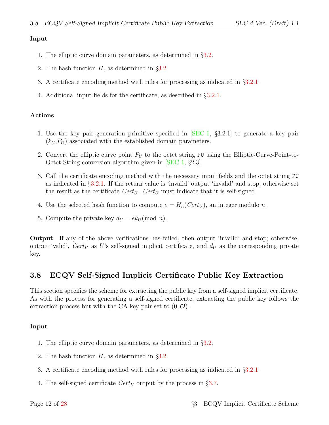#### Input

- 1. The elliptic curve domain parameters, as determined in §[3.2.](#page-9-0)
- 2. The hash function  $H$ , as determined in §[3.2.](#page-9-0)
- 3. A certificate encoding method with rules for processing as indicated in §[3.2.1.](#page-11-0)
- 4. Additional input fields for the certificate, as described in §[3.2.1.](#page-11-0)

#### Actions

- 1. Use the key pair generation primitive specified in [\[SEC 1,](#page-31-2) §3.2.1] to generate a key pair  $(k_U, P_U)$  associated with the established domain parameters.
- 2. Convert the elliptic curve point  $P_U$  to the octet string PU using the Elliptic-Curve-Point-to-Octet-String conversion algorithm given in [\[SEC 1,](#page-31-2) §2.3].
- 3. Call the certificate encoding method with the necessary input fields and the octet string PU as indicated in §[3.2.1.](#page-11-0) If the return value is 'invalid' output 'invalid' and stop, otherwise set the result as the certificate  $Cert_U$ .  $Cert_U$  must indicate that it is self-signed.
- 4. Use the selected hash function to compute  $e = H_n(Cert_U)$ , an integer modulo n.
- 5. Compute the private key  $d_U = e k_U \pmod{n}$ .

Output If any of the above verifications has failed, then output 'invalid' and stop; otherwise, output 'valid',  $Cert_U$  as U's self-signed implicit certificate, and  $d_U$  as the corresponding private key.

### <span id="page-15-0"></span>3.8 ECQV Self-Signed Implicit Certificate Public Key Extraction

This section specifies the scheme for extracting the public key from a self-signed implicit certificate. As with the process for generating a self-signed certificate, extracting the public key follows the extraction process but with the CA key pair set to  $(0, \mathcal{O})$ .

#### Input

- 1. The elliptic curve domain parameters, as determined in §[3.2.](#page-9-0)
- 2. The hash function  $H$ , as determined in  $\S 3.2$ .
- 3. A certificate encoding method with rules for processing as indicated in §[3.2.1.](#page-11-0)
- 4. The self-signed certificate  $Cert_U$  output by the process in §[3.7.](#page-14-1)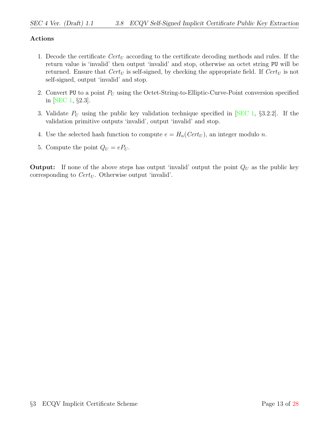#### Actions

- 1. Decode the certificate  $Cert_U$  according to the certificate decoding methods and rules. If the return value is 'invalid' then output 'invalid' and stop, otherwise an octet string PU will be returned. Ensure that  $Cert_U$  is self-signed, by checking the appropriate field. If  $Cert_U$  is not self-signed, output 'invalid' and stop.
- 2. Convert PU to a point  $P_U$  using the Octet-String-to-Elliptic-Curve-Point conversion specified in [\[SEC 1,](#page-31-2) §2.3].
- 3. Validate  $P_U$  using the public key validation technique specified in [\[SEC 1,](#page-31-2) §3.2.2]. If the validation primitive outputs 'invalid', output 'invalid' and stop.
- 4. Use the selected hash function to compute  $e = H_n(Cert_U)$ , an integer modulo n.
- 5. Compute the point  $Q_U = eP_U$ .

**Output:** If none of the above steps has output 'invalid' output the point  $Q_U$  as the public key corresponding to  $Cert_U$ . Otherwise output 'invalid'.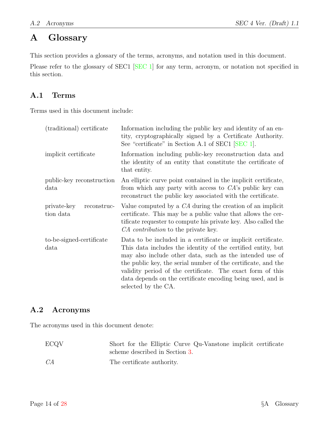# <span id="page-17-0"></span>A Glossary

This section provides a glossary of the terms, acronyms, and notation used in this document.

Please refer to the glossary of SEC1 [\[SEC 1\]](#page-31-2) for any term, acronym, or notation not specified in this section.

### <span id="page-17-1"></span>A.1 Terms

Terms used in this document include:

| (traditional) certificate               | Information including the public key and identity of an en-<br>tity, cryptographically signed by a Certificate Authority.<br>See "certificate" in Section A.1 of SEC1 [SEC 1].                                                                                                                                                                                                                                 |
|-----------------------------------------|----------------------------------------------------------------------------------------------------------------------------------------------------------------------------------------------------------------------------------------------------------------------------------------------------------------------------------------------------------------------------------------------------------------|
| implicit certificate                    | Information including public-key reconstruction data and<br>the identity of an entity that constitute the certificate of<br>that entity.                                                                                                                                                                                                                                                                       |
| public-key reconstruction<br>data       | An elliptic curve point contained in the implicit certificate,<br>from which any party with access to $CA$ 's public key can<br>reconstruct the public key associated with the certificate.                                                                                                                                                                                                                    |
| private-key<br>reconstruc-<br>tion data | Value computed by a $CA$ during the creation of an implicit<br>certificate. This may be a public value that allows the cer-<br>tificate requester to compute his private key. Also called the<br>CA contribution to the private key.                                                                                                                                                                           |
| to-be-signed-certificate<br>data        | Data to be included in a certificate or implicit certificate.<br>This data includes the identity of the certified entity, but<br>may also include other data, such as the intended use of<br>the public key, the serial number of the certificate, and the<br>validity period of the certificate. The exact form of this<br>data depends on the certificate encoding being used, and is<br>selected by the CA. |

### <span id="page-17-2"></span>A.2 Acronyms

The acronyms used in this document denote:

| <b>ECQV</b> | Short for the Elliptic Curve Qu-Vanstone implicit certificate |
|-------------|---------------------------------------------------------------|
|             | scheme described in Section 3.                                |
| CA          | The certificate authority.                                    |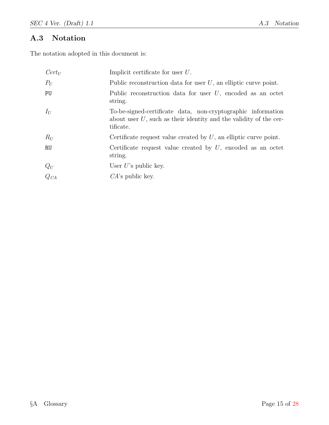### <span id="page-18-0"></span>A.3 Notation

The notation adopted in this document is:

| $Cert_U$                           | Implicit certificate for user $U$ .                                                                                                               |
|------------------------------------|---------------------------------------------------------------------------------------------------------------------------------------------------|
| $P_U$                              | Public reconstruction data for user $U$ , an elliptic curve point.                                                                                |
| PU                                 | Public reconstruction data for user $U$ , encoded as an octet<br>string.                                                                          |
| $I_U$                              | To-be-signed-certificate data, non-cryptographic information<br>about user $U$ , such as their identity and the validity of the cer-<br>tificate. |
| $R_U$                              | Certificate request value created by $U$ , an elliptic curve point.                                                                               |
| <b>RU</b>                          | Certificate request value created by $U$ , encoded as an octet<br>string.                                                                         |
|                                    | User $U$ 's public key.                                                                                                                           |
| $\displaystyle \frac{Q_U}{Q_{CA}}$ | $CA$ 's public key.                                                                                                                               |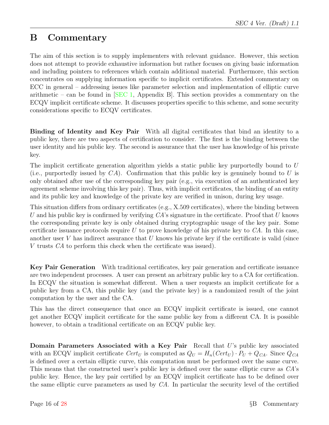# <span id="page-19-0"></span>B Commentary

The aim of this section is to supply implementers with relevant guidance. However, this section does not attempt to provide exhaustive information but rather focuses on giving basic information and including pointers to references which contain additional material. Furthermore, this section concentrates on supplying information specific to implicit certificates. Extended commentary on ECC in general – addressing issues like parameter selection and implementation of elliptic curve arithmetic – can be found in  $[SEC 1, Appendix B].$  $[SEC 1, Appendix B].$  This section provides a commentary on the ECQV implicit certificate scheme. It discusses properties specific to this scheme, and some security considerations specific to ECQV certificates.

Binding of Identity and Key Pair With all digital certificates that bind an identity to a public key, there are two aspects of certification to consider. The first is the binding between the user identity and his public key. The second is assurance that the user has knowledge of his private key.

The implicit certificate generation algorithm yields a static public key purportedly bound to U (i.e., purportedly issued by  $CA$ ). Confirmation that this public key is genuinely bound to U is only obtained after use of the corresponding key pair (e.g., via execution of an authenticated key agreement scheme involving this key pair). Thus, with implicit certificates, the binding of an entity and its public key and knowledge of the private key are verified in unison, during key usage.

This situation differs from ordinary certificates (e.g., X.509 certificates), where the binding between U and his public key is confirmed by verifying  $CA$ 's signature in the certificate. Proof that U knows the corresponding private key is only obtained during cryptographic usage of the key pair. Some certificate issuance protocols require U to prove knowledge of his private key to  $CA$ . In this case, another user  $V$  has indirect assurance that  $U$  knows his private key if the certificate is valid (since V trusts CA to perform this check when the certificate was issued).

Key Pair Generation With traditional certificates, key pair generation and certificate issuance are two independent processes. A user can present an arbitrary public key to a CA for certification. In ECQV the situation is somewhat different. When a user requests an implicit certificate for a public key from a CA, this public key (and the private key) is a randomized result of the joint computation by the user and the CA.

This has the direct consequence that once an ECQV implicit certificate is issued, one cannot get another ECQV implicit certificate for the same public key from a different CA. It is possible however, to obtain a traditional certificate on an ECQV public key.

Domain Parameters Associated with a Key Pair Recall that U's public key associated with an ECQV implicit certificate  $Cert_U$  is computed as  $Q_U = H_n(Cert_U) \cdot P_U + Q_{CA}$ . Since  $Q_{CA}$ is defined over a certain elliptic curve, this computation must be performed over the same curve. This means that the constructed user's public key is defined over the same elliptic curve as CA's public key. Hence, the key pair certified by an ECQV implicit certificate has to be defined over the same elliptic curve parameters as used by CA. In particular the security level of the certified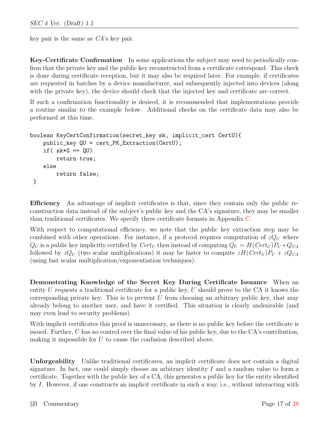key pair is the same as CA's key pair.

Key-Certificate Confirmation In some applications the subject may need to periodically confirm that the private key and the public key reconstructed from a certificate correspond. This check is done during certificate reception, but it may also be required later. For example, if certificates are requested in batches by a device manufacturer, and subsequently injected into devices (along with the private key), the device should check that the injected key and certificate are correct.

If such a confirmation functionality is desired, it is recommended that implementations provide a routine similar to the example below. Additional checks on the certificate data may also be performed at this time.

```
boolean KeyCertConfirmation(secret_key sk, implicit_cert CertU){
    public_key QU = cert_PK_Extraction(CertU);
    if( sk*G == QU)
        return true;
    else
        return false;
 }
```
Efficiency An advantage of implicit certificates is that, since they contain only the public reconstruction data instead of the subject's public key and the CA's signature, they may be smaller than traditional certificates. We specify three certificate formats in Appendix [C.](#page-23-0)

With respect to computational efficiency, we note that the public key extraction step may be combined with other operations. For instance, if a protocol requires computation of  $zQ_U$  where  $Q_U$  is a public key implicitly certified by  $Cert_U$  then instead of computing  $Q_U = H(Cert_U)P_U + Q_{CA}$ followed by  $zQ_U$  (two scalar multiplications) it may be faster to compute  $zH(Cer_{U})P_U + zQ_{CA}$ (using fast scalar multiplication/exponentiation techniques).

Demonstrating Knowledge of the Secret Key During Certificate Issuance When an entity U requests a traditional certificate for a public key, U should prove to the CA it knows the corresponding private key. This is to prevent  $U$  from choosing an arbitrary public key, that may already belong to another user, and have it certified. This situation is clearly undesirable (and may even lead to security problems).

With implicit certificates this proof is unnecessary, as there is no public key before the certificate is issued. Further, U has no control over the final value of his public key, due to the CA's contribution, making it impossible for U to cause the confusion described above.

Unforgeability Unlike traditional certificates, an implicit certificate does not contain a digital signature. In fact, one could simply choose an arbitrary identity  $I$  and a random value to form a certificate. Together with the public key of a CA, this generates a public key for the entity identified by I. However, if one constructs an implicit certificate in such a way, i.e., without interacting with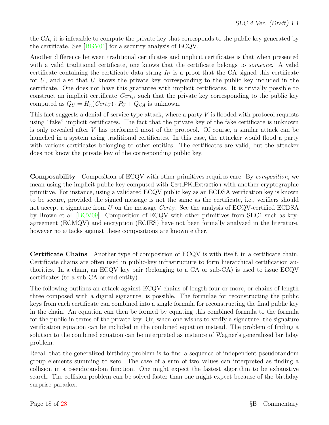the CA, it is infeasible to compute the private key that corresponds to the public key generated by the certificate. See [\[BGV01\]](#page-31-7) for a security analysis of ECQV.

Another difference between traditional certificates and implicit certificates is that when presented with a valid traditional certificate, one knows that the certificate belongs to *someone*. A valid certificate containing the certificate data string  $I_U$  is a proof that the CA signed this certificate for  $U$ , and also that  $U$  knows the private key corresponding to the public key included in the certificate. One does not have this guarantee with implicit certificates. It is trivially possible to construct an implicit certificate  $Cert_U$  such that the private key corresponding to the public key computed as  $Q_U = H_n(Cert_U) \cdot P_U + Q_{CA}$  is unknown.

This fact suggests a denial-of-service type attack, where a party  $V$  is flooded with protocol requests using "fake" implicit certificates. The fact that the private key of the fake certificate is unknown is only revealed after V has performed most of the protocol. Of course, a similar attack can be launched in a system using traditional certificates. In this case, the attacker would flood a party with various certificates belonging to other entities. The certificates are valid, but the attacker does not know the private key of the corresponding public key.

Composability Composition of ECQV with other primitives requires care. By composition, we mean using the implicit public key computed with Cert PK Extraction with another cryptographic primitive. For instance, using a validated ECQV public key as an ECDSA verification key is known to be secure, provided the signed message is not the same as the certificate, i.e., verifiers should not accept a signature from U on the message  $Cert_U$ . See the analysis of ECQV-certified ECDSA by Brown et al. [\[BCV09\]](#page-31-8). Composition of ECQV with other primitives from SEC1 such as keyagreement (ECMQV) and encryption (ECIES) have not been formally analyzed in the literature, however no attacks against these compositions are known either.

Certificate Chains Another type of composition of ECQV is with itself, in a certificate chain. Certificate chains are often used in public-key infrastructure to form hierarchical certification authorities. In a chain, an ECQV key pair (belonging to a CA or sub-CA) is used to issue ECQV certificates (to a sub-CA or end entity).

The following outlines an attack against ECQV chains of length four or more, or chains of length three composed with a digital signature, is possible. The formulae for reconstructing the public keys from each certificate can combined into a single formula for reconstructing the final public key in the chain. An equation can then be formed by equating this combined formula to the formula for the public in terms of the private key. Or, when one wishes to verify a signature, the signature verification equation can be included in the combined equation instead. The problem of finding a solution to the combined equation can be interpreted as instance of Wagner's generalized birthday problem.

Recall that the generalized birthday problem is to find a sequence of independent pseudorandom group elements summing to zero. The case of a sum of two values can interpreted as finding a collision in a pseudorandom function. One might expect the fastest algorithm to be exhaustive search. The collision problem can be solved faster than one might expect because of the birthday surprise paradox.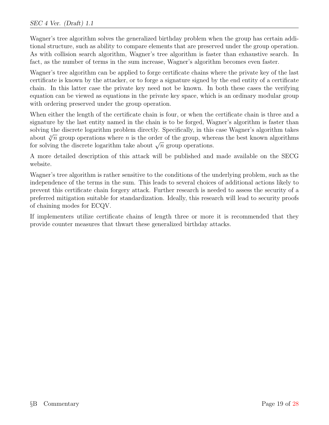Wagner's tree algorithm solves the generalized birthday problem when the group has certain additional structure, such as ability to compare elements that are preserved under the group operation. As with collision search algorithm, Wagner's tree algorithm is faster than exhaustive search. In fact, as the number of terms in the sum increase, Wagner's algorithm becomes even faster.

Wagner's tree algorithm can be applied to forge certificate chains where the private key of the last certificate is known by the attacker, or to forge a signature signed by the end entity of a certificate chain. In this latter case the private key need not be known. In both these cases the verifying equation can be viewed as equations in the private key space, which is an ordinary modular group with ordering preserved under the group operation.

When either the length of the certificate chain is four, or when the certificate chain is three and a signature by the last entity named in the chain is to be forged, Wagner's algorithm is faster than solving the discrete logarithm problem directly. Specifically, in this case Wagner's algorithm takes about  $\sqrt[3]{n}$  group operations where n is the order of the group, whereas the best known algorithms about  $\sqrt{n}$  group operations where *n* is the order of the group, when<br>for solving the discrete logarithm take about  $\sqrt{n}$  group operations.

A more detailed description of this attack will be published and made available on the SECG website.

Wagner's tree algorithm is rather sensitive to the conditions of the underlying problem, such as the independence of the terms in the sum. This leads to several choices of additional actions likely to prevent this certificate chain forgery attack. Further research is needed to assess the security of a preferred mitigation suitable for standardization. Ideally, this research will lead to security proofs of chaining modes for ECQV.

If implementers utilize certificate chains of length three or more it is recommended that they provide counter measures that thwart these generalized birthday attacks.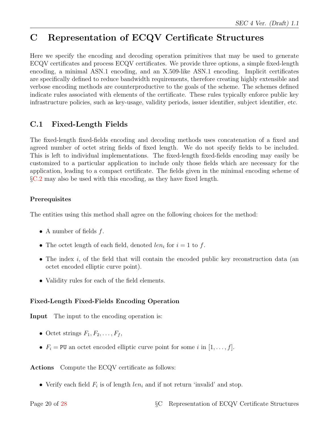# <span id="page-23-0"></span>C Representation of ECQV Certificate Structures

Here we specify the encoding and decoding operation primitives that may be used to generate ECQV certificates and process ECQV certificates. We provide three options, a simple fixed-length encoding, a minimal ASN.1 encoding, and an X.509-like ASN.1 encoding. Implicit certificates are specifically defined to reduce bandwidth requirements, therefore creating highly extensible and verbose encoding methods are counterproductive to the goals of the scheme. The schemes defined indicate rules associated with elements of the certificate. These rules typically enforce public key infrastructure policies, such as key-usage, validity periods, issuer identifier, subject identifier, etc.

### <span id="page-23-1"></span>C.1 Fixed-Length Fields

The fixed-length fixed-fields encoding and decoding methods uses concatenation of a fixed and agreed number of octet string fields of fixed length. We do not specify fields to be included. This is left to individual implementations. The fixed-length fixed-fields encoding may easily be customized to a particular application to include only those fields which are necessary for the application, leading to a compact certificate. The fields given in the minimal encoding scheme of §[C.2](#page-24-0) may also be used with this encoding, as they have fixed length.

### Prerequisites

The entities using this method shall agree on the following choices for the method:

- A number of fields  $f$ .
- The octet length of each field, denoted  $len_i$  for  $i = 1$  to f.
- The index i, of the field that will contain the encoded public key reconstruction data (an octet encoded elliptic curve point).
- Validity rules for each of the field elements.

### Fixed-Length Fixed-Fields Encoding Operation

Input The input to the encoding operation is:

- Octet strings  $F_1, F_2, \ldots, F_f$ ,
- $F_i = \text{PU}$  an octet encoded elliptic curve point for some i in  $[1, \ldots, f]$ .

Actions Compute the ECQV certificate as follows:

• Verify each field  $F_i$  is of length  $len_i$  and if not return 'invalid' and stop.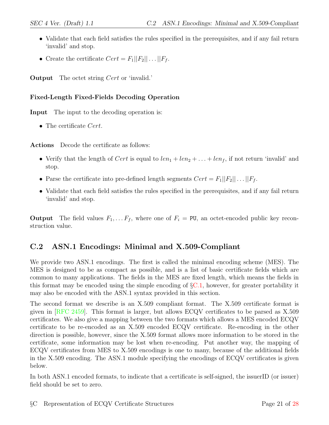- Validate that each field satisfies the rules specified in the prerequisites, and if any fail return 'invalid' and stop.
- Create the certificate  $Cert = F_1||F_2|| \dots ||F_f$ .

**Output** The octet string *Cert* or 'invalid.'

#### Fixed-Length Fixed-Fields Decoding Operation

Input The input to the decoding operation is:

• The certificate Cert.

Actions Decode the certificate as follows:

- Verify that the length of *Cert* is equal to  $len_1 + len_2 + \ldots + len_f$ , if not return 'invalid' and stop.
- Parse the certificate into pre-defined length segments  $Cert = F_1||F_2|| \dots ||F_f$ .
- Validate that each field satisfies the rules specified in the prerequisites, and if any fail return 'invalid' and stop.

**Output** The field values  $F_1, \ldots, F_f$ , where one of  $F_i = \text{PU}$ , an octet-encoded public key reconstruction value.

### <span id="page-24-0"></span>C.2 ASN.1 Encodings: Minimal and X.509-Compliant

We provide two ASN.1 encodings. The first is called the minimal encoding scheme (MES). The MES is designed to be as compact as possible, and is a list of basic certificate fields which are common to many applications. The fields in the MES are fixed length, which means the fields in this format may be encoded using the simple encoding of §[C.1,](#page-23-1) however, for greater portability it may also be encoded with the ASN.1 syntax provided in this section.

The second format we describe is an X.509 compliant format. The X.509 certificate format is given in [\[RFC 2459\]](#page-31-6). This format is larger, but allows ECQV certificates to be parsed as X.509 certificates. We also give a mapping between the two formats which allows a MES encoded ECQV certificate to be re-encoded as an X.509 encoded ECQV certificate. Re-encoding in the other direction is possible, however, since the X.509 format allows more information to be stored in the certificate, some information may be lost when re-encoding. Put another way, the mapping of ECQV certificates from MES to X.509 encodings is one to many, because of the additional fields in the X.509 encoding. The ASN.1 module specifying the encodings of ECQV certificates is given below.

In both ASN.1 encoded formats, to indicate that a certificate is self-signed, the issuerID (or issuer) field should be set to zero.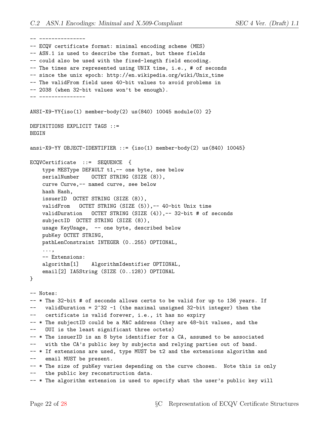-- ---------------

-- ECQV certificate format: minimal encoding scheme (MES) -- ASN.1 is used to describe the format, but these fields -- could also be used with the fixed-length field encoding. -- The times are represented using UNIX time, i.e., # of seconds -- since the unix epoch: http://en.wikipedia.org/wiki/Unix\_time -- The validFrom field uses 40-bit values to avoid problems in -- 2038 (when 32-bit values won't be enough). -- --------------- ANSI-X9-YY{iso(1) member-body(2) us(840) 10045 module(0) 2} DEFINITIONS EXPLICIT TAGS ::= BEGIN ansi-X9-YY OBJECT-IDENTIFIER ::= {iso(1) member-body(2) us(840) 10045} ECQVCertificate ::= SEQUENCE { type MESType DEFAULT t1,-- one byte, see below serialNumber OCTET STRING (SIZE (8)), curve Curve,-- named curve, see below hash Hash, issuerID OCTET STRING (SIZE (8)), validFrom OCTET STRING (SIZE (5)),-- 40-bit Unix time validDuration OCTET STRING (SIZE (4)),-- 32-bit # of seconds subjectID OCTET STRING (SIZE (8)), usage KeyUsage, -- one byte, described below pubKey OCTET STRING, pathLenConstraint INTEGER (0..255) OPTIONAL, ..., -- Extensions: algorithm[1] AlgorithmIdentifier OPTIONAL, email[2] IA5String (SIZE (0..128)) OPTIONAL } -- Notes: -- \* The 32-bit # of seconds allows certs to be valid for up to 136 years. If  $--$  validDuration =  $2^{\degree}32 -1$  (the maximal unsigned 32-bit integer) then the -- certificate is valid forever, i.e., it has no expiry -- \* The subjectID could be a MAC address (they are 48-bit values, and the -- OUI is the least significant three octets) -- \* The issuerID is an 8 byte identifier for a CA, assumed to be associated with the CA's public key by subjects and relying parties out of band. -- \* If extensions are used, type MUST be t2 and the extensions algorithm and -- email MUST be present. -- \* The size of pubKey varies depending on the curve chosen. Note this is only -- the public key reconstruction data. -- \* The algorithm extension is used to specify what the user's public key will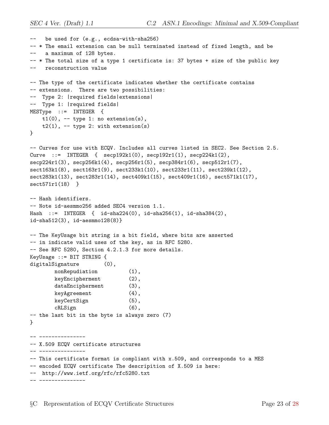```
-- be used for (e.g., ecdsa-with-sha256)
-- * The email extension can be null terminated instead of fixed length, and be
-- a maximum of 128 bytes.
-- * The total size of a type 1 certificate is: 37 bytes + size of the public key
-- reconstruction value
-- The type of the certificate indicates whether the certificate contains
-- extensions. There are two possibilities:
-- Type 2: |required fields|extensions|
-- Type 1: |required fields|
MESType ::= INTEGER {
   t1(0), - type 1: no extension(s),
   t2(1), -- type 2: with extension(s)
}
-- Curves for use with ECQV. Includes all curves listed in SEC2. See Section 2.5.
Curve ::= INTEGER { seq192k1(0), seq192r1(1), seq224k1(2),
secp224r1(3), secp256k1(4), secp256r1(5), secp384r1(6), secp512r1(7),
sect163k1(8), sect163r1(9), sect233k1(10), sect233r1(11), sect239k1(12),
sect283k1(13), sect283r1(14), sect409k1(15), sect409r1(16), sect571k1(17),
sect571r1(18) }
-- Hash identifiers.
-- Note id-aesmmo256 added SEC4 version 1.1.
Hash ::= INTEGER { id-sha224(0), id-sha256(1), id-sha384(2),
id-sha512(3), id-aesmmo128(8)}
-- The KeyUsage bit string is a bit field, where bits are asserted
-- in indicate valid uses of the key, as in RFC 5280.
-- See RFC 5280, Section 4.2.1.3 for more details.
KeyUsage ::= BIT STRING {
digitalSignature (0),
       nonRepudiation (1),
       keyEncipherment (2),
       dataEncipherment (3),
       keyAgreement (4),
       keyCertSign (5),
       cRLSign (6),
-- the last bit in the byte is always zero (7)
}
 -- ---------------
-- X.509 ECQV certificate structures
-- ---------------
-- This certificate format is compliant with x.509, and corresponds to a MES
-- encoded ECQV certificate The descripition of X.509 is here:
-- http://www.ietf.org/rfc/rfc5280.txt
-- ---------------
```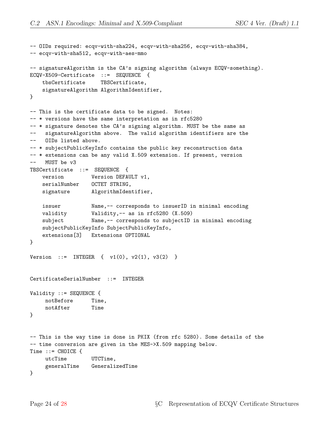```
-- OIDs required: ecqv-with-sha224, ecqv-with-sha256, ecqv-with-sha384,
-- ecqv-with-sha512, ecqv-with-aes-mmo
-- signatureAlgorithm is the CA's signing algorithm (always ECQV-something).
ECQV-X509-Certificate ::= SEQUENCE {
   tbsCertificate TBSCertificate,
   signatureAlgorithm AlgorithmIdentifier,
}
-- This is the certificate data to be signed. Notes:
-- * versions have the same interpretation as in rfc5280
-- * signature denotes the CA's signing algorithm. MUST be the same as
-- signatureAlgorithm above. The valid algorithm identifiers are the
-- OIDs listed above.
-- * subjectPublicKeyInfo contains the public key reconstruction data
-- * extensions can be any valid X.509 extension. If present, version
-- MUST be v3
TBSCertificate ::= SEQUENCE {
   version Version DEFAULT v1,
   serialNumber  OCTET STRING,
   signature AlgorithmIdentifier,
   issuer Name,-- corresponds to issuerID in minimal encoding
   validity Validity,-- as in rfc5280 (X.509)
   subject Name,-- corresponds to subjectID in minimal encoding
   subjectPublicKeyInfo SubjectPublicKeyInfo,
   extensions[3] Extensions OPTIONAL
}
Version ::= INTEGER { v1(0), v2(1), v3(2) }
CertificateSerialNumber ::= INTEGER
Validity ::= SEQUENCE {
    notBefore Time,
    notAfter Time
}
-- This is the way time is done in PKIX (from rfc 5280). Some details of the
-- time conversion are given in the MES->X.509 mapping below.
Time ::= CHOICE {
    utcTime UTCTime,
    generalTime GeneralizedTime
}
```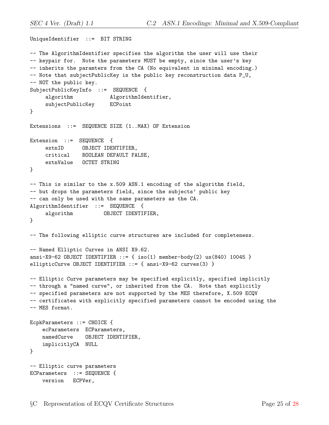```
UniqueIdentifier ::= BIT STRING
-- The AlgorithmIdentifier specifies the algorithm the user will use their
-- keypair for. Note the parameters MUST be empty, since the user's key
-- inherits the paramters from the CA (No equivalent in minimal encoding.)
-- Note that subjectPublicKey is the public key reconstruction data P_U,
-- NOT the public key.
SubjectPublicKeyInfo ::= SEQUENCE {
    algorithm \qquad AlgorithmIdentifier,
    subjectPublicKey ECPoint
}
Extensions ::= SEQUENCE SIZE (1..MAX) OF Extension
Extension ::= SEQUENCE {
    extnID OBJECT IDENTIFIER,
    critical BOOLEAN DEFAULT FALSE,
    extnValue OCTET STRING
}
-- This is similar to the x.509 ASN.1 encoding of the algorithm field,
-- but drops the parameters field, since the subjects' public key
-- can only be used with the same parameters as the CA.
AlgorithmIdentifier ::= SEQUENCE {
    algorithm OBJECT IDENTIFIER,
}
-- The following elliptic curve structures are included for completeness.
-- Named Elliptic Curves in ANSI X9.62.
ansi-X9-62 OBJECT IDENTIFIER ::= { iso(1) member-body(2) us(840) 10045 }
ellipticCurve OBJECT IDENTIFIER ::= { ansi-X9-62 curves(3) }
-- Elliptic Curve parameters may be specified explicitly, specified implicitly
-- through a "named curve", or inherited from the CA. Note that explicitly
-- specified parameters are not supported by the MES therefore, X.509 ECQV
-- certificates with explicitly specified parameters cannot be encoded using the
-- MES format.
EcpkParameters ::= CHOICE {
   ecParameters ECParameters,
   namedCurve OBJECT IDENTIFIER,
   implicitlyCA NULL
}
-- Elliptic curve parameters
ECParameters ::= SEQUENCE {
   version ECPVer,
```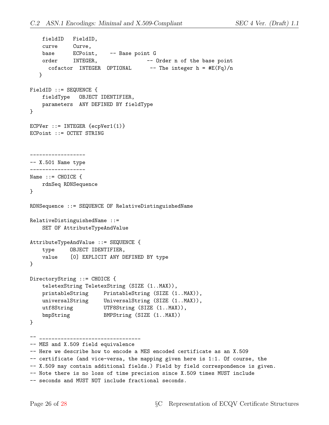```
fieldID FieldID,
   curve Curve,
   base ECPoint, -- Base point G
   order INTEGER, -- Order n of the base point
     cofactor INTEGER OPTIONAL -- The integer h = \#E(Fq)/n}
FieldID ::= SEQUENCE {
   fieldType OBJECT IDENTIFIER,
   parameters ANY DEFINED BY fieldType
}
ECPVer ::= INTEGER {ecpVer1(1)}
ECPoint ::= OCTET STRING
------------------
-- X.501 Name type
------------------
Name ::= CHOICE \{rdnSeq RDNSequence
}
RDNSequence ::= SEQUENCE OF RelativeDistinguishedName
RelativeDistinguishedName ::=
   SET OF AttributeTypeAndValue
AttributeTypeAndValue ::= SEQUENCE {
   type OBJECT IDENTIFIER,
   value [0] EXPLICIT ANY DEFINED BY type
}
DirectoryString ::= CHOICE {
   teletexString TeletexString (SIZE (1..MAX)),
    printableString PrintableString (SIZE (1..MAX)),
    universalString UniversalString (SIZE (1..MAX)),
    utf8String UTF8String (SIZE (1..MAX)),
    bmpString BMPString (SIZE (1..MAX))
}
-- _________________________________
-- MES and X.509 field equivalence
-- Here we describe how to encode a MES encoded certificate as an X.509
-- certificate (and vice-versa, the mapping given here is 1:1. Of course, the
-- X.509 may contain additional fields.) Field by field correspondence is given.
-- Note there is no loss of time precision since X.509 times MUST include
-- seconds and MUST NOT include fractional seconds.
```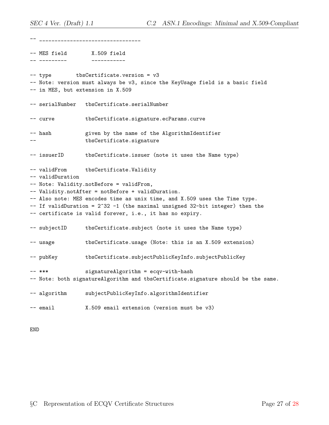-- \_\_\_\_\_\_\_\_\_\_\_\_\_\_\_\_\_\_\_\_\_\_\_\_\_\_\_\_\_\_\_\_\_ -- MES field X.509 field -- --------- ----------- -- type tbsCertificate.version = v3 -- Note: version must always be v3, since the KeyUsage field is a basic field -- in MES, but extension in X.509 -- serialNumber tbsCertificate.serialNumber -- curve tbsCertificate.signature.ecParams.curve -- hash given by the name of the AlgorithmIdentifier tbsCertificate.signature -- issuerID tbsCertificate.issuer (note it uses the Name type) -- validFrom tbsCertificate.Validity -- validDuration -- Note: Validity.notBefore = validFrom, -- Validity.notAfter = notBefore + validDuration. -- Also note: MES encodes time as unix time, and X.509 uses the Time type.  $--$  If validDuration =  $2^{\degree}32 -1$  (the maximal unsigned 32-bit integer) then the -- certificate is valid forever, i.e., it has no expiry. -- subjectID tbsCertificate.subject (note it uses the Name type) -- usage tbsCertificate.usage (Note: this is an X.509 extension) -- pubKey tbsCertificate.subjectPublicKeyInfo.subjectPublicKey -- \*\*\* signatureAlgorithm = ecqv-with-hash -- Note: both signatureAlgorithm and tbsCertificate.signature should be the same. -- algorithm subjectPublicKeyInfo.algorithmIdentifier -- email X.509 email extension (version must be v3)

END